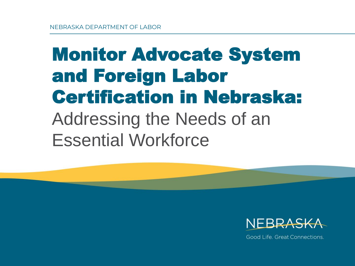### Monitor Advocate System and Foreign Labor Certification in Nebraska: Addressing the Needs of an Essential Workforce



Good Life, Great Connections.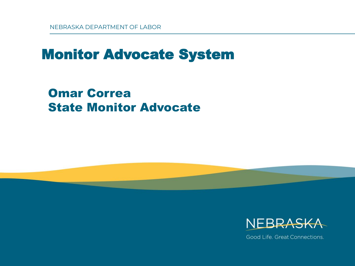### Monitor Advocate System

Omar Correa State Monitor Advocate



Good Life, Great Connections.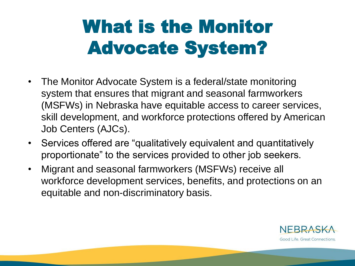## What is the Monitor Advocate System?

- The Monitor Advocate System is a federal/state monitoring system that ensures that migrant and seasonal farmworkers (MSFWs) in Nebraska have equitable access to career services, skill development, and workforce protections offered by American Job Centers (AJCs).
- Services offered are "qualitatively equivalent and quantitatively proportionate" to the services provided to other job seekers.
- Migrant and seasonal farmworkers (MSFWs) receive all workforce development services, benefits, and protections on an equitable and non-discriminatory basis.

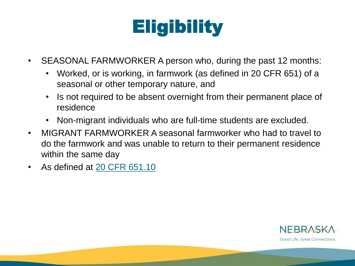## **Eligibility**

- SEASONAL FARMWORKER A person who, during the past 12 months:
	- Worked, or is working, in farmwork (as defined in 20 CFR 651) of a seasonal or other temporary nature, and
	- Is not required to be absent overnight from their permanent place of residence
	- Non-migrant individuals who are full-time students are excluded.
- MIGRANT FARMWORKER A seasonal farmworker who had to travel to do the farmwork and was unable to return to their permanent residence within the same day
- As defined at [20 CFR 651.10](https://www.ecfr.gov/cgi-bin/text-idx?SID=02f048590d940a71d71b182fa41350cd&mc=true&node=pt20.3.651&rgn=div5)

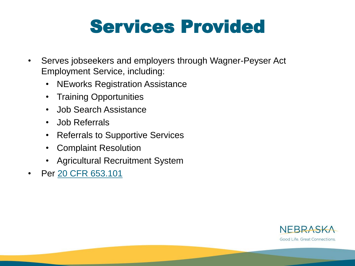### Services Provided

- Serves jobseekers and employers through Wagner-Peyser Act Employment Service, including:
	- NEworks Registration Assistance
	- Training Opportunities
	- Job Search Assistance
	- Job Referrals
	- Referrals to Supportive Services
	- Complaint Resolution
	- Agricultural Recruitment System
- Per [20 CFR 653.101](https://www.ecfr.gov/cgi-bin/retrieveECFR?gp=&SID=dee0a64e9e68af5d7ec1eace1cdc6c88&mc=true&n=pt20.3.653&r=PART&ty=HTML#se20.3.653_1101)

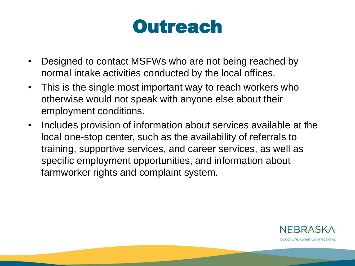### **Outreach**

- Designed to contact MSFWs who are not being reached by normal intake activities conducted by the local offices.
- This is the single most important way to reach workers who otherwise would not speak with anyone else about their employment conditions.
- Includes provision of information about services available at the local one-stop center, such as the availability of referrals to training, supportive services, and career services, as well as specific employment opportunities, and information about farmworker rights and complaint system.

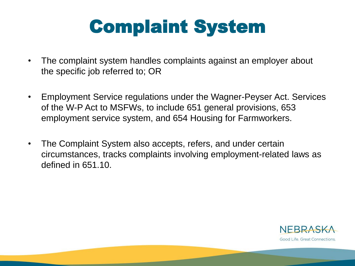### Complaint System

- The complaint system handles complaints against an employer about the specific job referred to; OR
- Employment Service regulations under the Wagner-Peyser Act. Services of the W-P Act to MSFWs, to include 651 general provisions, 653 employment service system, and 654 Housing for Farmworkers.
- The Complaint System also accepts, refers, and under certain circumstances, tracks complaints involving employment-related laws as defined in 651.10.

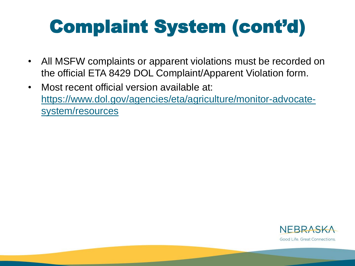## Complaint System (cont'd)

- All MSFW complaints or apparent violations must be recorded on the official ETA 8429 DOL Complaint/Apparent Violation form.
- Most recent official version available at: [https://www.dol.gov/agencies/eta/agriculture/monitor-advocate](https://www.dol.gov/agencies/eta/agriculture/monitor-advocate-system/resources)system/resources

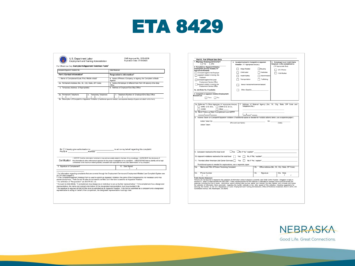

| U.S. Department Labor<br>Employment and Training Administration                                                                                                                                                                                                                                                            | OMB Approval No. 1205-0039<br>Expiration Date: 07/31/2023                                                                                                                                                                                                                                                                                                                                                                                                                                                                                                                                                                          |
|----------------------------------------------------------------------------------------------------------------------------------------------------------------------------------------------------------------------------------------------------------------------------------------------------------------------------|------------------------------------------------------------------------------------------------------------------------------------------------------------------------------------------------------------------------------------------------------------------------------------------------------------------------------------------------------------------------------------------------------------------------------------------------------------------------------------------------------------------------------------------------------------------------------------------------------------------------------------|
| For Official Use Only Complaint/Apparent Violation Form <sup>1</sup>                                                                                                                                                                                                                                                       |                                                                                                                                                                                                                                                                                                                                                                                                                                                                                                                                                                                                                                    |
| Complaint/Apparent Violation No.                                                                                                                                                                                                                                                                                           | Date Received                                                                                                                                                                                                                                                                                                                                                                                                                                                                                                                                                                                                                      |
| Part I. Contact Information <sup>2</sup>                                                                                                                                                                                                                                                                                   | Respondent's Information <sup>3</sup>                                                                                                                                                                                                                                                                                                                                                                                                                                                                                                                                                                                              |
| 1. Name of Complainant/(Last, First, Middle Initial) <sup>4</sup>                                                                                                                                                                                                                                                          | 4. Name of Person, Company, or Agency the Complaint is Made<br>Against                                                                                                                                                                                                                                                                                                                                                                                                                                                                                                                                                             |
| 2a. Permanent Address (No., St., City, State, ZIP Code)                                                                                                                                                                                                                                                                    | 5. Name of Employer (if different from Part I #4 above) /One-Stop<br>Office                                                                                                                                                                                                                                                                                                                                                                                                                                                                                                                                                        |
| b. Temporary Address (if Appropriate)                                                                                                                                                                                                                                                                                      | 6. Address of Employer/One-Stop Office                                                                                                                                                                                                                                                                                                                                                                                                                                                                                                                                                                                             |
| 3a. Permanent Telephone<br>b. Temporary Telephone<br>(<br>$\overline{\phantom{a}}$<br>l<br>,<br>$\overline{\phantom{a}}$                                                                                                                                                                                                   | 7. Telephone Number of Employer/One-Stop Office<br>$\epsilon$<br>١<br>8a. Description of Complaint or Apparent Violation (If additional space is needed, use separate sheet(s) of paper and attach to this form)                                                                                                                                                                                                                                                                                                                                                                                                                   |
|                                                                                                                                                                                                                                                                                                                            |                                                                                                                                                                                                                                                                                                                                                                                                                                                                                                                                                                                                                                    |
| 8b.   I hereby give authorization to:<br>Phone #: Address:                                                                                                                                                                                                                                                                 | to act on my behalf regarding this complaint.                                                                                                                                                                                                                                                                                                                                                                                                                                                                                                                                                                                      |
| Certification                                                                                                                                                                                                                                                                                                              | I CERTIFY that the information furnished is true and accurately stated to the best of my knowledge. I AUTHORIZE the disclosure of<br>this information to other enforcement agencies for the proper investigation of my complaint. I UNDERSTAND that my identity will be kept                                                                                                                                                                                                                                                                                                                                                       |
|                                                                                                                                                                                                                                                                                                                            | confidential to the maximum extent possible, consistent with applicable law and a fair determination of my complaint.                                                                                                                                                                                                                                                                                                                                                                                                                                                                                                              |
| 9. Signature of Complainant <sup>5</sup>                                                                                                                                                                                                                                                                                   | 10. Date Signed<br>$\prime$                                                                                                                                                                                                                                                                                                                                                                                                                                                                                                                                                                                                        |
| 20 CFR 658 Subpart E.<br>remain anonymous. Parts 2a and 2b also do not need to be filled out if the form is used for an Apparent Violation.<br><sup>3</sup> For definition of "Respondent" see 20 CFR 651.10.<br>representative, the name and contact information of the designated representative must be provided in 8b. | <sup>1</sup> For information regarding complaints that are covered through the Employment Service and Employment-Related Law Complaint System see<br><sup>2</sup> If the Complaint/Apparent Violation Form is used to submit an Apparent Violation, the name of the Complainant is not necessary and may<br><sup>4</sup> Pursuant to 658.400(d), "A complainant may designate an individual to act as his/her representative." If the complainant has a designated<br><sup>5</sup> No signature is required at Part 9 if this form is submitted as an Apparent Violation. If the form is submitted as a complaint and a designated |

| $\n  Na\n$<br>$\Box$ Yes                                                                                                                                                                                                                                                                                                                                                                                                                                                                                                                                                                                                                                                                                                                                                                                                                                |                       | 4. Issue(s) involved in Complaint or Apparent<br>Violation ("X" Appropriate Box(es)): | 5. If employer is an H-2A/Criteria<br>Employer, is the complainant a: |                                                                    |
|---------------------------------------------------------------------------------------------------------------------------------------------------------------------------------------------------------------------------------------------------------------------------------------------------------------------------------------------------------------------------------------------------------------------------------------------------------------------------------------------------------------------------------------------------------------------------------------------------------------------------------------------------------------------------------------------------------------------------------------------------------------------------------------------------------------------------------------------------------|-----------------------|---------------------------------------------------------------------------------------|-----------------------------------------------------------------------|--------------------------------------------------------------------|
| 2. Complaint or Apparent Violation                                                                                                                                                                                                                                                                                                                                                                                                                                                                                                                                                                                                                                                                                                                                                                                                                      |                       |                                                                                       |                                                                       | ("X" Appropriate Box):                                             |
| Employment Service Related ("X"                                                                                                                                                                                                                                                                                                                                                                                                                                                                                                                                                                                                                                                                                                                                                                                                                         |                       | Wage Related                                                                          | Housing                                                               | U.S. Worker                                                        |
| Appropriate Box(es))<br>Complaint against the Employer                                                                                                                                                                                                                                                                                                                                                                                                                                                                                                                                                                                                                                                                                                                                                                                                  |                       | Child Labor                                                                           | Pesticides                                                            |                                                                    |
| Apparent violation involving the                                                                                                                                                                                                                                                                                                                                                                                                                                                                                                                                                                                                                                                                                                                                                                                                                        |                       |                                                                                       |                                                                       | H-2A Worker                                                        |
| Employer                                                                                                                                                                                                                                                                                                                                                                                                                                                                                                                                                                                                                                                                                                                                                                                                                                                |                       | Health/Safety                                                                         | Discrimination                                                        |                                                                    |
| Complaint against the Local                                                                                                                                                                                                                                                                                                                                                                                                                                                                                                                                                                                                                                                                                                                                                                                                                             |                       | Transportation                                                                        | Trafficking                                                           |                                                                    |
|                                                                                                                                                                                                                                                                                                                                                                                                                                                                                                                                                                                                                                                                                                                                                                                                                                                         |                       |                                                                                       |                                                                       |                                                                    |
| Employment Service Office<br>Apparent violation involving the                                                                                                                                                                                                                                                                                                                                                                                                                                                                                                                                                                                                                                                                                                                                                                                           |                       |                                                                                       |                                                                       |                                                                    |
| Employment Service Office                                                                                                                                                                                                                                                                                                                                                                                                                                                                                                                                                                                                                                                                                                                                                                                                                               |                       |                                                                                       | Sexual harassment/coercion/assault                                    |                                                                    |
| 2a. Job Order No, if available:                                                                                                                                                                                                                                                                                                                                                                                                                                                                                                                                                                                                                                                                                                                                                                                                                         |                       | Other (Specify)                                                                       |                                                                       |                                                                    |
| 3. Complaint or Apparent Violation Employment-<br>Related Law:                                                                                                                                                                                                                                                                                                                                                                                                                                                                                                                                                                                                                                                                                                                                                                                          |                       |                                                                                       |                                                                       |                                                                    |
| TYes □No                                                                                                                                                                                                                                                                                                                                                                                                                                                                                                                                                                                                                                                                                                                                                                                                                                                |                       |                                                                                       |                                                                       |                                                                    |
|                                                                                                                                                                                                                                                                                                                                                                                                                                                                                                                                                                                                                                                                                                                                                                                                                                                         |                       |                                                                                       |                                                                       |                                                                    |
| 6a. Referrals To Other Agencies ('X" Appropriate Box(es))<br>$\Box$ WHD. U.S. DOL. $\Box$ OSHA U.S. D.O.L.                                                                                                                                                                                                                                                                                                                                                                                                                                                                                                                                                                                                                                                                                                                                              |                       | Telephone No.)                                                                        |                                                                       | 7. Address of Referral Agency (No., St., City, State, ZIP Code and |
| $\Box$ EEOC<br>$\Box$ Other                                                                                                                                                                                                                                                                                                                                                                                                                                                                                                                                                                                                                                                                                                                                                                                                                             |                       |                                                                                       |                                                                       |                                                                    |
| 6b. Next Follow-up Date if complainant is an MSFW<br>$\mathbf{I}$<br>$\frac{1}{2}$                                                                                                                                                                                                                                                                                                                                                                                                                                                                                                                                                                                                                                                                                                                                                                      |                       | ——                                                                                    |                                                                       |                                                                    |
| 8. Actions Taken on Complaint/Apparent Violation (If additional space is needed for multiple actions taken, use a separate paper):                                                                                                                                                                                                                                                                                                                                                                                                                                                                                                                                                                                                                                                                                                                      |                       |                                                                                       |                                                                       |                                                                    |
|                                                                                                                                                                                                                                                                                                                                                                                                                                                                                                                                                                                                                                                                                                                                                                                                                                                         |                       |                                                                                       |                                                                       |                                                                    |
| Action Taken By:                                                                                                                                                                                                                                                                                                                                                                                                                                                                                                                                                                                                                                                                                                                                                                                                                                        |                       |                                                                                       |                                                                       | On: $\_\_$<br>(Date)                                               |
| Action Taken:                                                                                                                                                                                                                                                                                                                                                                                                                                                                                                                                                                                                                                                                                                                                                                                                                                           | (First and Last Name) |                                                                                       |                                                                       |                                                                    |
|                                                                                                                                                                                                                                                                                                                                                                                                                                                                                                                                                                                                                                                                                                                                                                                                                                                         |                       |                                                                                       |                                                                       |                                                                    |
|                                                                                                                                                                                                                                                                                                                                                                                                                                                                                                                                                                                                                                                                                                                                                                                                                                                         |                       |                                                                                       |                                                                       |                                                                    |
|                                                                                                                                                                                                                                                                                                                                                                                                                                                                                                                                                                                                                                                                                                                                                                                                                                                         |                       |                                                                                       |                                                                       |                                                                    |
|                                                                                                                                                                                                                                                                                                                                                                                                                                                                                                                                                                                                                                                                                                                                                                                                                                                         | Yes                   |                                                                                       |                                                                       |                                                                    |
|                                                                                                                                                                                                                                                                                                                                                                                                                                                                                                                                                                                                                                                                                                                                                                                                                                                         | Yes                   |                                                                                       |                                                                       |                                                                    |
| *If additional space is needed for explanations, use a separate paper.                                                                                                                                                                                                                                                                                                                                                                                                                                                                                                                                                                                                                                                                                                                                                                                  |                       |                                                                                       |                                                                       |                                                                    |
| Name and Title of Person Receiving Complaint                                                                                                                                                                                                                                                                                                                                                                                                                                                                                                                                                                                                                                                                                                                                                                                                            |                       |                                                                                       | 12 <sub>b</sub>                                                       | Office Address (No., St., City, State, ZIP Code)                   |
| Phone Number                                                                                                                                                                                                                                                                                                                                                                                                                                                                                                                                                                                                                                                                                                                                                                                                                                            |                       |                                                                                       | 12d<br>Signature                                                      | 12e. Date<br>1                                                     |
| 9. Complaint resolved at the local level<br>10. Apparent violations resolved at the local level<br>11. Provided other American Job Center Services<br>12a<br>12c<br>C<br>-1                                                                                                                                                                                                                                                                                                                                                                                                                                                                                                                                                                                                                                                                             |                       |                                                                                       |                                                                       | $\prime$                                                           |
| <b>Public Burden Statement</b><br>Persons are not required to respond to this collection of information unless it displays a currently valid OMB Control Number. Obligation to reply is<br>required to obtain or retain benefits (44 USC 5301). Public reporting burden for this collection is estimated to average 2 hours and 30 minutes per<br>response, including the time to review instructions, search existing data sources, gather and maintain the data needed, and complete and review<br>the collection of information. Send comments regarding this burden estimate or any other aspect of this collection, including suggestions for<br>reducing this burden, to the U.S. Department of Labor, Employment and Training Administration, Office of Workforce Investment, Room C-4510, 200<br>Constitution Avenue, NW, Washington, DC 20210. |                       |                                                                                       |                                                                       |                                                                    |

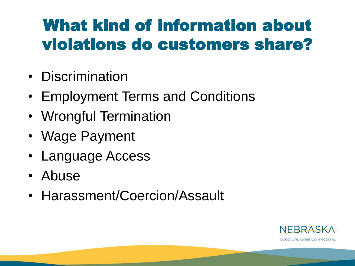### What kind of information about violations do customers share?

- Discrimination
- Employment Terms and Conditions
- Wrongful Termination
- Wage Payment
- Language Access
- Abuse
- Harassment/Coercion/Assault

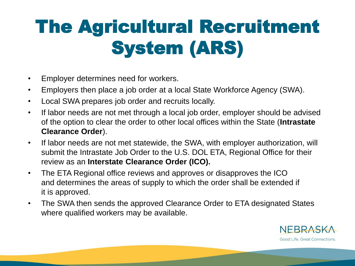## The Agricultural Recruitment System (ARS)

- Employer determines need for workers.
- Employers then place a job order at a local State Workforce Agency (SWA).
- Local SWA prepares job order and recruits locally.
- If labor needs are not met through a local job order, employer should be advised of the option to clear the order to other local offices within the State (**Intrastate Clearance Order**).
- If labor needs are not met statewide, the SWA, with employer authorization, will submit the Intrastate Job Order to the U.S. DOL ETA, Regional Office for their review as an **Interstate Clearance Order (ICO).**
- The ETA Regional office reviews and approves or disapproves the ICO and determines the areas of supply to which the order shall be extended if it is approved.
- The SWA then sends the approved Clearance Order to ETA designated States where qualified workers may be available.

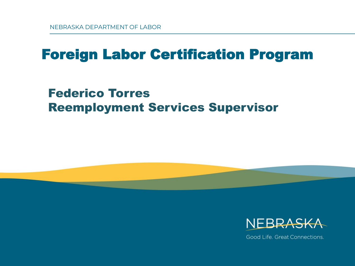### Foreign Labor Certification Program

#### Federico Torres Reemployment Services Supervisor



Good Life, Great Connections.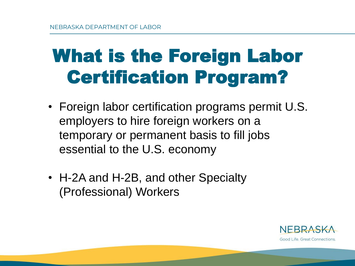## What is the Foreign Labor Certification Program?

- Foreign labor certification programs permit U.S. employers to hire foreign workers on a temporary or permanent basis to fill jobs essential to the U.S. economy
- H-2A and H-2B, and other Specialty (Professional) Workers

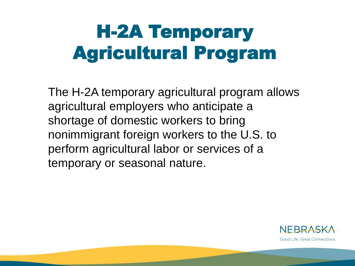### H-2A Temporary Agricultural Program

The H-2A temporary agricultural program allows agricultural employers who anticipate a shortage of domestic workers to bring nonimmigrant foreign workers to the U.S. to perform agricultural labor or services of a temporary or seasonal nature.

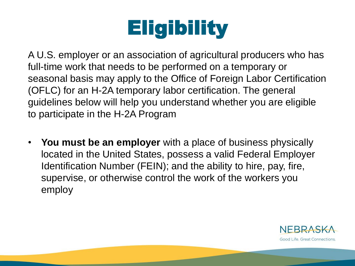## **Eligibility**

A U.S. employer or an association of agricultural producers who has full-time work that needs to be performed on a temporary or seasonal basis may apply to the Office of Foreign Labor Certification (OFLC) for an H-2A temporary labor certification. The general guidelines below will help you understand whether you are eligible to participate in the H-2A Program

• **You must be an employer** with a place of business physically located in the United States, possess a valid Federal Employer Identification Number (FEIN); and the ability to hire, pay, fire, supervise, or otherwise control the work of the workers you employ

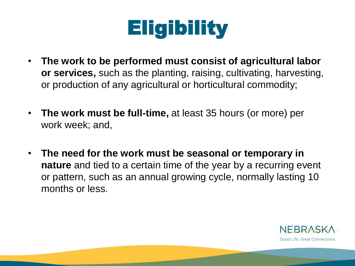

- **The work to be performed must consist of agricultural labor or services,** such as the planting, raising, cultivating, harvesting, or production of any agricultural or horticultural commodity;
- **The work must be full-time,** at least 35 hours (or more) per work week; and,
- **The need for the work must be seasonal or temporary in nature** and tied to a certain time of the year by a recurring event or pattern, such as an annual growing cycle, normally lasting 10 months or less.

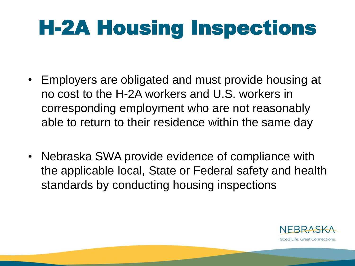# H-2A Housing Inspections

- Employers are obligated and must provide housing at no cost to the H-2A workers and U.S. workers in corresponding employment who are not reasonably able to return to their residence within the same day
- Nebraska SWA provide evidence of compliance with the applicable local, State or Federal safety and health standards by conducting housing inspections

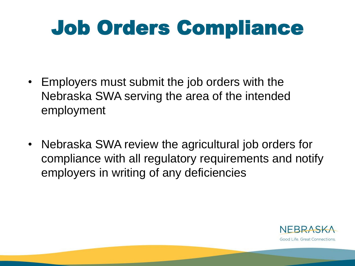## Job Orders Compliance

- Employers must submit the job orders with the Nebraska SWA serving the area of the intended employment
- Nebraska SWA review the agricultural job orders for compliance with all regulatory requirements and notify employers in writing of any deficiencies

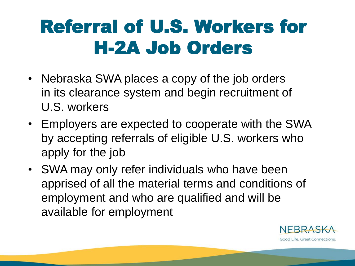### Referral of U.S. Workers for H-2A Job Orders

- Nebraska SWA places a copy of the job orders in its clearance system and begin recruitment of U.S. workers
- Employers are expected to cooperate with the SWA by accepting referrals of eligible U.S. workers who apply for the job
- SWA may only refer individuals who have been apprised of all the material terms and conditions of employment and who are qualified and will be available for employment

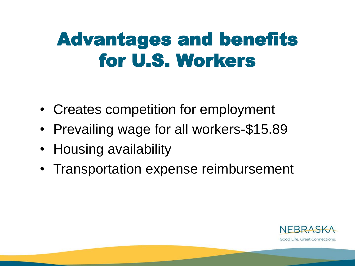### Advantages and benefits for U.S. Workers

- Creates competition for employment
- Prevailing wage for all workers-\$15.89
- Housing availability
- Transportation expense reimbursement

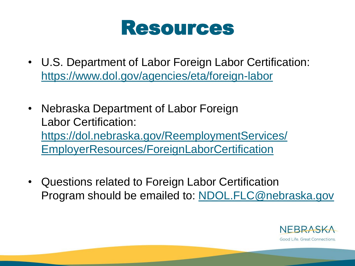

- U.S. Department of Labor Foreign Labor Certification: <https://www.dol.gov/agencies/eta/foreign-labor>
- Nebraska Department of Labor Foreign Labor Certification: https://dol.nebraska.gov/ReemploymentServices/ [EmployerResources/ForeignLaborCertification](https://dol.nebraska.gov/ReemploymentServices/EmployerResources/ForeignLaborCertification)
- Questions related to Foreign Labor Certification Program should be emailed to: [NDOL.FLC@nebraska.gov](mailto:NDOL.FLC@nebraska.gov)